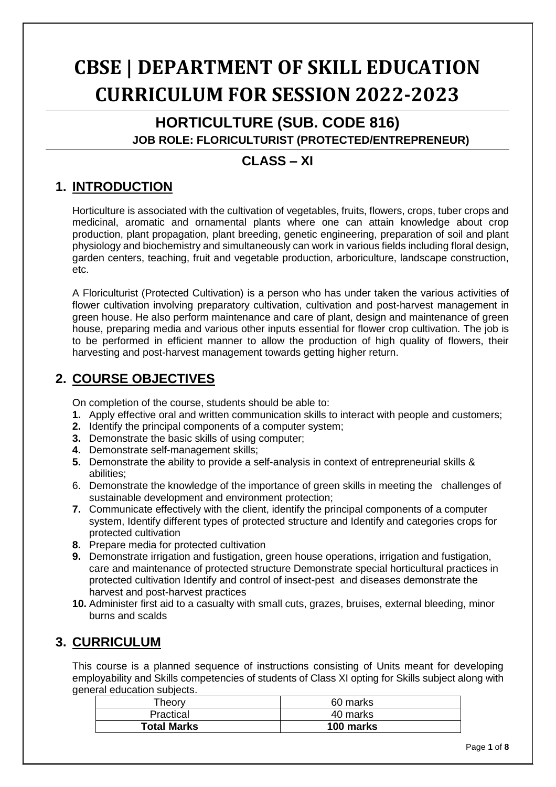# **CBSE | DEPARTMENT OF SKILL EDUCATION CURRICULUM FOR SESSION 2022-2023**

# **HORTICULTURE (SUB. CODE 816)**

 **JOB ROLE: FLORICULTURIST (PROTECTED/ENTREPRENEUR)**

#### **CLASS – XI**

### **1. INTRODUCTION**

Horticulture is associated with the cultivation of vegetables, fruits, flowers, crops, tuber crops and medicinal, aromatic and ornamental plants where one can attain knowledge about crop production, plant propagation, plant breeding, genetic engineering, preparation of soil and plant physiology and biochemistry and simultaneously can work in various fields including floral design, garden centers, teaching, fruit and vegetable production, arboriculture, landscape construction, etc.

A Floriculturist (Protected Cultivation) is a person who has under taken the various activities of flower cultivation involving preparatory cultivation, cultivation and post-harvest management in green house. He also perform maintenance and care of plant, design and maintenance of green house, preparing media and various other inputs essential for flower crop cultivation. The job is to be performed in efficient manner to allow the production of high quality of flowers, their harvesting and post-harvest management towards getting higher return.

#### **2. COURSE OBJECTIVES**

On completion of the course, students should be able to:

- **1.** Apply effective oral and written communication skills to interact with people and customers;
- **2.** Identify the principal components of a computer system;
- **3.** Demonstrate the basic skills of using computer;
- **4.** Demonstrate self-management skills;
- **5.** Demonstrate the ability to provide a self-analysis in context of entrepreneurial skills & abilities;
- 6. Demonstrate the knowledge of the importance of green skills in meeting the challenges of sustainable development and environment protection;
- **7.** Communicate effectively with the client, identify the principal components of a computer system, Identify different types of protected structure and Identify and categories crops for protected cultivation
- **8.** Prepare media for protected cultivation
- **9.** Demonstrate irrigation and fustigation, green house operations, irrigation and fustigation, care and maintenance of protected structure Demonstrate special horticultural practices in protected cultivation Identify and control of insect-pest and diseases demonstrate the harvest and post-harvest practices
- **10.** Administer first aid to a casualty with small cuts, grazes, bruises, external bleeding, minor burns and scalds

#### **3. CURRICULUM**

This course is a planned sequence of instructions consisting of Units meant for developing employability and Skills competencies of students of Class XI opting for Skills subject along with general education subjects.

| $\tau$ heorv       | 60 marks  |
|--------------------|-----------|
| Practical          | 40 marks  |
| <b>Total Marks</b> | 100 marks |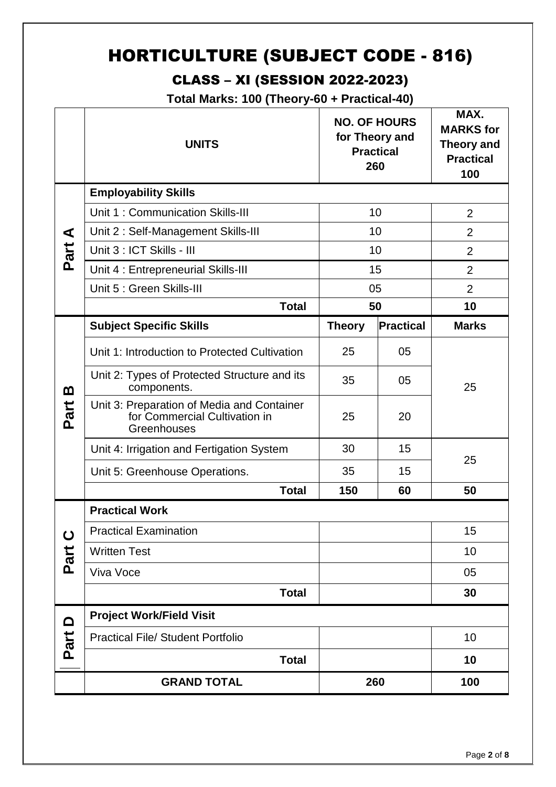# HORTICULTURE (SUBJECT CODE - 816)

### CLASS – XI (SESSION 2022-2023)

**Total Marks: 100 (Theory-60 + Practical-40)**

|          | <b>UNITS</b>                                                                               | for Theory and<br>260 | <b>NO. OF HOURS</b><br><b>Practical</b> | MAX.<br><b>MARKS</b> for<br>Theory and<br><b>Practical</b><br>100 |
|----------|--------------------------------------------------------------------------------------------|-----------------------|-----------------------------------------|-------------------------------------------------------------------|
|          | <b>Employability Skills</b>                                                                |                       |                                         |                                                                   |
|          | Unit 1: Communication Skills-III                                                           |                       | 10                                      | $\overline{2}$                                                    |
| ⋖        | Unit 2: Self-Management Skills-III                                                         |                       | 10                                      | $\overline{2}$                                                    |
| Part     | Unit 3 : ICT Skills - III                                                                  |                       | 10                                      | $\overline{2}$                                                    |
|          | Unit 4 : Entrepreneurial Skills-III                                                        |                       | 15                                      | $\overline{2}$                                                    |
|          | Unit 5 : Green Skills-III                                                                  |                       | 05                                      | $\overline{2}$                                                    |
|          | <b>Total</b>                                                                               |                       | 50                                      | 10                                                                |
|          | <b>Subject Specific Skills</b>                                                             | <b>Theory</b>         | Practical                               | <b>Marks</b>                                                      |
|          | Unit 1: Introduction to Protected Cultivation                                              | 25                    | 05                                      |                                                                   |
| <u>ന</u> | Unit 2: Types of Protected Structure and its<br>components.                                | 35                    | 05                                      | 25                                                                |
| Part     | Unit 3: Preparation of Media and Container<br>for Commercial Cultivation in<br>Greenhouses | 25                    | 20                                      |                                                                   |
|          | Unit 4: Irrigation and Fertigation System                                                  | 30                    | 15                                      |                                                                   |
|          | Unit 5: Greenhouse Operations.                                                             | 35                    | 15                                      | 25                                                                |
|          | <b>Total</b>                                                                               | 150                   | 60                                      | 50                                                                |
|          | <b>Practical Work</b>                                                                      |                       |                                         |                                                                   |
| ပ        | <b>Practical Examination</b>                                                               |                       |                                         | 15                                                                |
| Part     | <b>Written Test</b>                                                                        |                       |                                         | 10                                                                |
|          | Viva Voce                                                                                  |                       |                                         | 05                                                                |
|          | <b>Total</b>                                                                               |                       |                                         | 30                                                                |
| <b>△</b> | <b>Project Work/Field Visit</b>                                                            |                       |                                         |                                                                   |
| Part     | <b>Practical File/ Student Portfolio</b>                                                   |                       |                                         | 10                                                                |
|          | <b>Total</b>                                                                               |                       |                                         | 10                                                                |
|          | <b>GRAND TOTAL</b>                                                                         |                       | 260                                     | 100                                                               |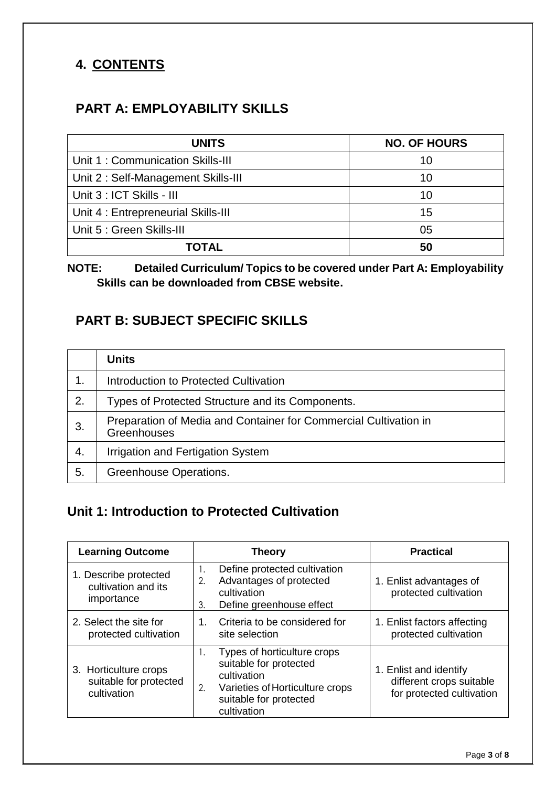### **4. CONTENTS**

#### **PART A: EMPLOYABILITY SKILLS**

| <b>UNITS</b>                        | <b>NO. OF HOURS</b> |
|-------------------------------------|---------------------|
| Unit 1: Communication Skills-III    | 10                  |
| Unit 2: Self-Management Skills-III  | 10                  |
| Unit 3 : ICT Skills - III           | 10                  |
| Unit 4 : Entrepreneurial Skills-III | 15                  |
| Unit 5 : Green Skills-III           | 05                  |
| ΤΟΤΑΙ                               |                     |

#### **NOTE: Detailed Curriculum/ Topics to be covered under Part A: Employability Skills can be downloaded from CBSE website.**

#### **PART B: SUBJECT SPECIFIC SKILLS**

|    | <b>Units</b>                                                                    |
|----|---------------------------------------------------------------------------------|
| 1. | Introduction to Protected Cultivation                                           |
| 2. | Types of Protected Structure and its Components.                                |
| 3. | Preparation of Media and Container for Commercial Cultivation in<br>Greenhouses |
| 4. | Irrigation and Fertigation System                                               |
| 5. | Greenhouse Operations.                                                          |

#### **Unit 1: Introduction to Protected Cultivation**

| <b>Learning Outcome</b>                                        | <b>Theory</b>                                                                                                                                          | <b>Practical</b>                                                                |
|----------------------------------------------------------------|--------------------------------------------------------------------------------------------------------------------------------------------------------|---------------------------------------------------------------------------------|
| 1. Describe protected<br>cultivation and its<br>importance     | Define protected cultivation<br>Advantages of protected<br>2.<br>cultivation<br>Define greenhouse effect<br>3.                                         | 1. Enlist advantages of<br>protected cultivation                                |
| 2. Select the site for<br>protected cultivation                | Criteria to be considered for<br>1.<br>site selection                                                                                                  | 1. Enlist factors affecting<br>protected cultivation                            |
| 3. Horticulture crops<br>suitable for protected<br>cultivation | Types of horticulture crops<br>suitable for protected<br>cultivation<br>Varieties of Horticulture crops<br>2.<br>suitable for protected<br>cultivation | 1. Enlist and identify<br>different crops suitable<br>for protected cultivation |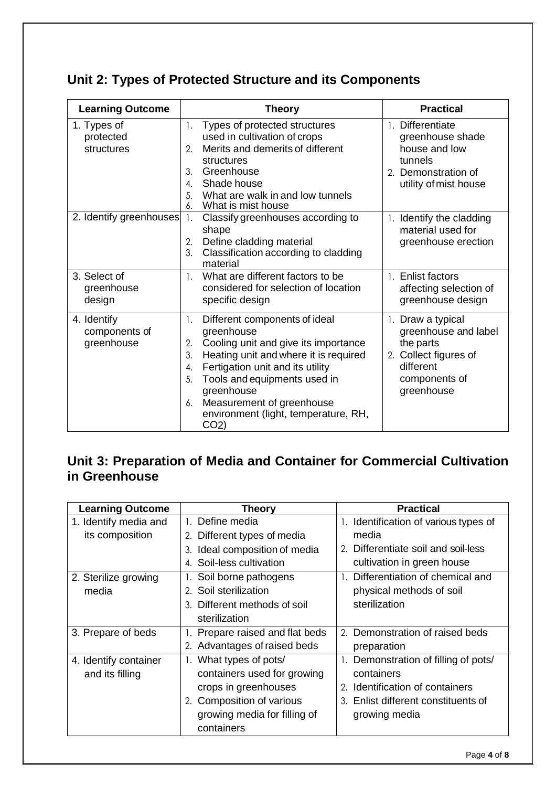|  |  |  | Unit 2: Types of Protected Structure and its Components |  |  |
|--|--|--|---------------------------------------------------------|--|--|
|--|--|--|---------------------------------------------------------|--|--|

| <b>Learning Outcome</b>                    | <b>Theory</b>                                                                                                                                                                                                                                                                                                                                | <b>Practical</b>                                                                                                            |  |
|--------------------------------------------|----------------------------------------------------------------------------------------------------------------------------------------------------------------------------------------------------------------------------------------------------------------------------------------------------------------------------------------------|-----------------------------------------------------------------------------------------------------------------------------|--|
| 1. Types of<br>protected<br>structures     | Types of protected structures<br>1.<br>used in cultivation of crops<br>Merits and demerits of different<br>2.<br>structures<br>Greenhouse<br>3.<br>Shade house<br>$\mathbf{A}_{\cdot}$<br>What are walk in and low tunnels<br>5.<br>What is mist house<br>6.                                                                                 | 1. Differentiate<br>greenhouse shade<br>house and low<br>tunnels<br>2. Demonstration of<br>utility of mist house            |  |
| 2. Identify greenhouses                    | 1.<br>Classify greenhouses according to<br>shape<br>Define cladding material<br>2.<br>Classification according to cladding<br>3.<br>material                                                                                                                                                                                                 | 1. Identify the cladding<br>material used for<br>greenhouse erection                                                        |  |
| 3. Select of<br>greenhouse<br>design       | What are different factors to be<br>$\mathbf{1}$ .<br>considered for selection of location<br>specific design                                                                                                                                                                                                                                | 1. Enlist factors<br>affecting selection of<br>greenhouse design                                                            |  |
| 4. Identify<br>components of<br>greenhouse | 1.<br>Different components of ideal<br>greenhouse<br>Cooling unit and give its importance<br>2.<br>Heating unit and where it is required<br>3.<br>Fertigation unit and its utility<br>4.<br>Tools and equipments used in<br>5.<br>greenhouse<br>Measurement of greenhouse<br>6.<br>environment (light, temperature, RH,<br>CO <sub>2</sub> ) | 1. Draw a typical<br>greenhouse and label<br>the parts<br>2. Collect figures of<br>different<br>components of<br>greenhouse |  |

### **Unit 3: Preparation of Media and Container for Commercial Cultivation in Greenhouse**

| <b>Learning Outcome</b> | <b>Theory</b>                                          | <b>Practical</b>                      |
|-------------------------|--------------------------------------------------------|---------------------------------------|
| 1. Identify media and   | Define media<br>$\mathbf{1}_{\mathbf{1}_{\mathbf{1}}}$ | 1. Identification of various types of |
| its composition         | 2. Different types of media                            | media                                 |
|                         | Ideal composition of media<br>3.                       | 2. Differentiate soil and soil-less   |
|                         | Soil-less cultivation                                  | cultivation in green house            |
| 2. Sterilize growing    | Soil borne pathogens                                   | Differentiation of chemical and       |
| media                   | 2. Soil sterilization                                  | physical methods of soil              |
|                         | Different methods of soil                              | sterilization                         |
|                         | sterilization                                          |                                       |
| 3. Prepare of beds      | Prepare raised and flat beds                           | 2. Demonstration of raised beds       |
|                         | 2. Advantages of raised beds                           | preparation                           |
| 4. Identify container   | What types of pots/                                    | 1. Demonstration of filling of pots/  |
| and its filling         | containers used for growing                            | containers                            |
|                         | crops in greenhouses                                   | 2. Identification of containers       |
|                         | 2. Composition of various                              | 3. Enlist different constituents of   |
|                         | growing media for filling of                           | growing media                         |
|                         | containers                                             |                                       |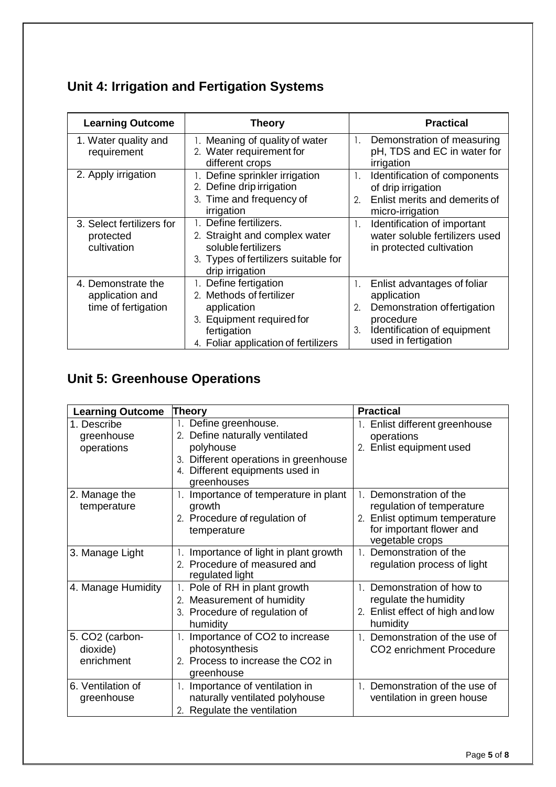# **Unit 4: Irrigation and Fertigation Systems**

| <b>Learning Outcome</b>                                      | <b>Theory</b>                                                                                                                                        | <b>Practical</b>                                                                                                                                                |
|--------------------------------------------------------------|------------------------------------------------------------------------------------------------------------------------------------------------------|-----------------------------------------------------------------------------------------------------------------------------------------------------------------|
| 1. Water quality and<br>requirement                          | 1. Meaning of quality of water<br>2. Water requirement for<br>different crops                                                                        | $\mathbf{1}$ .<br>Demonstration of measuring<br>pH, TDS and EC in water for<br>irrigation                                                                       |
| 2. Apply irrigation                                          | 1. Define sprinkler irrigation<br>2. Define drip irrigation<br>3. Time and frequency of<br>irrigation                                                | Identification of components<br>1.<br>of drip irrigation<br>Enlist merits and demerits of<br>2.<br>micro-irrigation                                             |
| 3. Select fertilizers for<br>protected<br>cultivation        | Define fertilizers.<br>2. Straight and complex water<br>soluble fertilizers<br>3. Types of fertilizers suitable for<br>drip irrigation               | Identification of important<br>1.<br>water soluble fertilizers used<br>in protected cultivation                                                                 |
| 4. Demonstrate the<br>application and<br>time of fertigation | 1. Define fertigation<br>2. Methods of fertilizer<br>application<br>3. Equipment required for<br>fertigation<br>4. Foliar application of fertilizers | Enlist advantages of foliar<br>1.<br>application<br>Demonstration of fertigation<br>2.<br>procedure<br>Identification of equipment<br>3.<br>used in fertigation |

# **Unit 5: Greenhouse Operations**

| <b>Learning Outcome</b>                               | <b>Theory</b>                                                                                                                                                   | <b>Practical</b>                                                                                                                     |
|-------------------------------------------------------|-----------------------------------------------------------------------------------------------------------------------------------------------------------------|--------------------------------------------------------------------------------------------------------------------------------------|
| 1. Describe<br>greenhouse<br>operations               | 1. Define greenhouse.<br>2. Define naturally ventilated<br>polyhouse<br>3. Different operations in greenhouse<br>4. Different equipments used in<br>greenhouses | Enlist different greenhouse<br>operations<br>2. Enlist equipment used                                                                |
| 2. Manage the<br>temperature                          | 1. Importance of temperature in plant<br>growth<br>2. Procedure of regulation of<br>temperature                                                                 | 1. Demonstration of the<br>regulation of temperature<br>2. Enlist optimum temperature<br>for important flower and<br>vegetable crops |
| 3. Manage Light                                       | Importance of light in plant growth<br>2. Procedure of measured and<br>regulated light                                                                          | 1. Demonstration of the<br>regulation process of light                                                                               |
| 4. Manage Humidity                                    | 1. Pole of RH in plant growth<br>2. Measurement of humidity<br>3. Procedure of regulation of<br>humidity                                                        | 1. Demonstration of how to<br>regulate the humidity<br>2. Enlist effect of high and low<br>humidity                                  |
| 5. CO <sub>2</sub> (carbon-<br>dioxide)<br>enrichment | 1. Importance of CO2 to increase<br>photosynthesis<br>2. Process to increase the CO2 in<br>greenhouse                                                           | 1. Demonstration of the use of<br>CO <sub>2</sub> enrichment Procedure                                                               |
| 6. Ventilation of<br>greenhouse                       | 1. Importance of ventilation in<br>naturally ventilated polyhouse<br>2. Regulate the ventilation                                                                | 1. Demonstration of the use of<br>ventilation in green house                                                                         |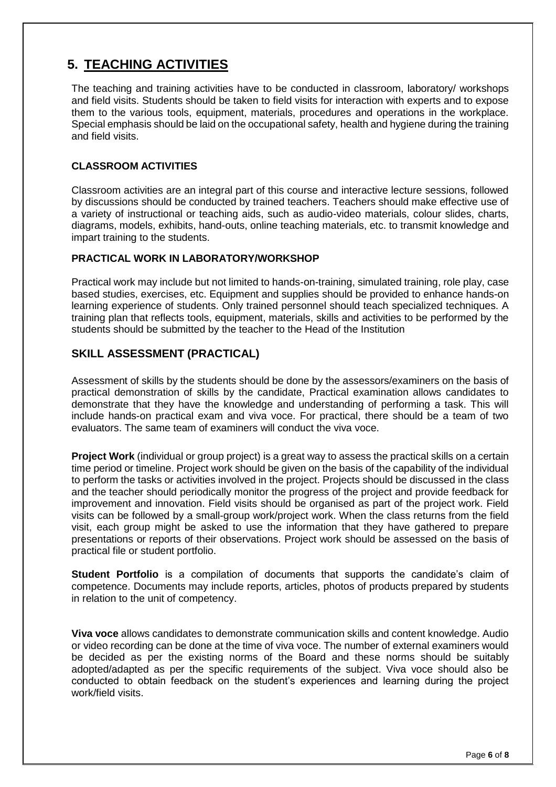### **5. TEACHING ACTIVITIES**

The teaching and training activities have to be conducted in classroom, laboratory/ workshops and field visits. Students should be taken to field visits for interaction with experts and to expose them to the various tools, equipment, materials, procedures and operations in the workplace. Special emphasis should be laid on the occupational safety, health and hygiene during the training and field visits.

#### **CLASSROOM ACTIVITIES**

Classroom activities are an integral part of this course and interactive lecture sessions, followed by discussions should be conducted by trained teachers. Teachers should make effective use of a variety of instructional or teaching aids, such as audio-video materials, colour slides, charts, diagrams, models, exhibits, hand-outs, online teaching materials, etc. to transmit knowledge and impart training to the students.

#### **PRACTICAL WORK IN LABORATORY/WORKSHOP**

Practical work may include but not limited to hands-on-training, simulated training, role play, case based studies, exercises, etc. Equipment and supplies should be provided to enhance hands-on learning experience of students. Only trained personnel should teach specialized techniques. A training plan that reflects tools, equipment, materials, skills and activities to be performed by the students should be submitted by the teacher to the Head of the Institution

#### **SKILL ASSESSMENT (PRACTICAL)**

Assessment of skills by the students should be done by the assessors/examiners on the basis of practical demonstration of skills by the candidate, Practical examination allows candidates to demonstrate that they have the knowledge and understanding of performing a task. This will include hands-on practical exam and viva voce. For practical, there should be a team of two evaluators. The same team of examiners will conduct the viva voce.

**Project Work** (individual or group project) is a great way to assess the practical skills on a certain time period or timeline. Project work should be given on the basis of the capability of the individual to perform the tasks or activities involved in the project. Projects should be discussed in the class and the teacher should periodically monitor the progress of the project and provide feedback for improvement and innovation. Field visits should be organised as part of the project work. Field visits can be followed by a small-group work/project work. When the class returns from the field visit, each group might be asked to use the information that they have gathered to prepare presentations or reports of their observations. Project work should be assessed on the basis of practical file or student portfolio.

**Student Portfolio** is a compilation of documents that supports the candidate's claim of competence. Documents may include reports, articles, photos of products prepared by students in relation to the unit of competency.

**Viva voce** allows candidates to demonstrate communication skills and content knowledge. Audio or video recording can be done at the time of viva voce. The number of external examiners would be decided as per the existing norms of the Board and these norms should be suitably adopted/adapted as per the specific requirements of the subject. Viva voce should also be conducted to obtain feedback on the student's experiences and learning during the project work/field visits.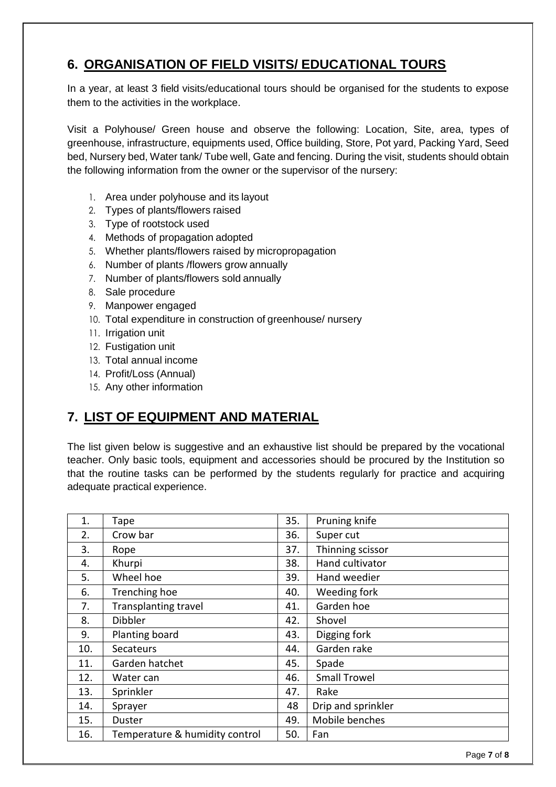#### **6. ORGANISATION OF FIELD VISITS/ EDUCATIONAL TOURS**

In a year, at least 3 field visits/educational tours should be organised for the students to expose them to the activities in the workplace.

Visit a Polyhouse/ Green house and observe the following: Location, Site, area, types of greenhouse, infrastructure, equipments used, Office building, Store, Pot yard, Packing Yard, Seed bed, Nursery bed, Water tank/ Tube well, Gate and fencing. During the visit, students should obtain the following information from the owner or the supervisor of the nursery:

- 1. Area under polyhouse and its layout
- 2. Types of plants/flowers raised
- 3. Type of rootstock used
- 4. Methods of propagation adopted
- 5. Whether plants/flowers raised by micropropagation
- 6. Number of plants /flowers grow annually
- 7. Number of plants/flowers sold annually
- 8. Sale procedure
- 9. Manpower engaged
- 10. Total expenditure in construction of greenhouse/ nursery
- 11. Irrigation unit
- 12. Fustigation unit
- 13. Total annual income
- 14. Profit/Loss (Annual)
- 15. Any other information

#### **7. LIST OF EQUIPMENT AND MATERIAL**

The list given below is suggestive and an exhaustive list should be prepared by the vocational teacher. Only basic tools, equipment and accessories should be procured by the Institution so that the routine tasks can be performed by the students regularly for practice and acquiring adequate practical experience.

| 1.  | Tape                           | 35. | Pruning knife       |
|-----|--------------------------------|-----|---------------------|
| 2.  | Crow bar                       | 36. | Super cut           |
| 3.  | Rope                           | 37. | Thinning scissor    |
| 4.  | Khurpi                         | 38. | Hand cultivator     |
| 5.  | Wheel hoe                      | 39. | Hand weedier        |
| 6.  | Trenching hoe                  | 40. | Weeding fork        |
| 7.  | <b>Transplanting travel</b>    | 41. | Garden hoe          |
| 8.  | <b>Dibbler</b>                 | 42. | Shovel              |
| 9.  | Planting board                 | 43. | Digging fork        |
| 10. | Secateurs                      | 44. | Garden rake         |
| 11. | Garden hatchet                 | 45. | Spade               |
| 12. | Water can                      | 46. | <b>Small Trowel</b> |
| 13. | Sprinkler                      | 47. | Rake                |
| 14. | Sprayer                        | 48  | Drip and sprinkler  |
| 15. | Duster                         | 49. | Mobile benches      |
| 16. | Temperature & humidity control | 50. | Fan                 |